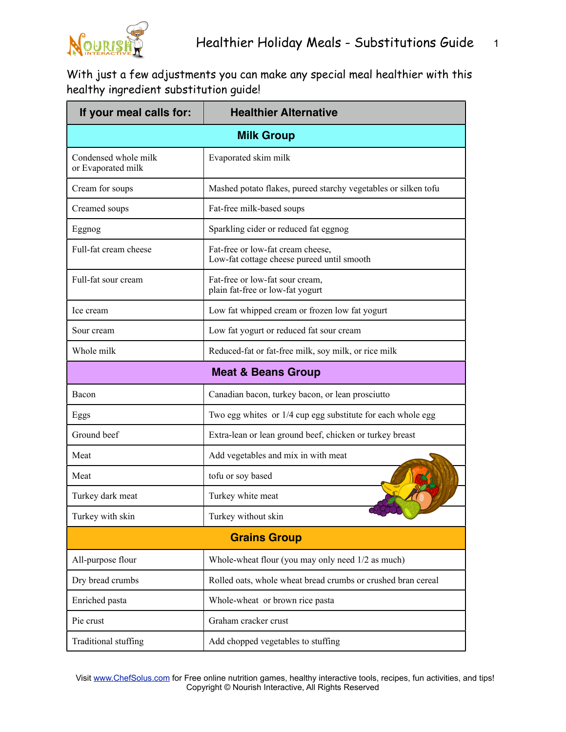

With just a few adjustments you can make any special meal healthier with this healthy ingredient substitution guide!

| If your meal calls for:                    | <b>Healthier Alternative</b>                                                    |
|--------------------------------------------|---------------------------------------------------------------------------------|
| <b>Milk Group</b>                          |                                                                                 |
| Condensed whole milk<br>or Evaporated milk | Evaporated skim milk                                                            |
| Cream for soups                            | Mashed potato flakes, pureed starchy vegetables or silken tofu                  |
| Creamed soups                              | Fat-free milk-based soups                                                       |
| Eggnog                                     | Sparkling cider or reduced fat eggnog                                           |
| Full-fat cream cheese                      | Fat-free or low-fat cream cheese,<br>Low-fat cottage cheese pureed until smooth |
| Full-fat sour cream                        | Fat-free or low-fat sour cream,<br>plain fat-free or low-fat yogurt             |
| Ice cream                                  | Low fat whipped cream or frozen low fat yogurt                                  |
| Sour cream                                 | Low fat yogurt or reduced fat sour cream                                        |
| Whole milk                                 | Reduced-fat or fat-free milk, soy milk, or rice milk                            |
| <b>Meat &amp; Beans Group</b>              |                                                                                 |
| Bacon                                      | Canadian bacon, turkey bacon, or lean prosciutto                                |
| Eggs                                       | Two egg whites or 1/4 cup egg substitute for each whole egg                     |
| Ground beef                                | Extra-lean or lean ground beef, chicken or turkey breast                        |
| Meat                                       | Add vegetables and mix in with meat                                             |
| Meat                                       | tofu or soy based                                                               |
| Turkey dark meat                           | Turkey white meat                                                               |
| Turkey with skin                           | Turkey without skin                                                             |
| <b>Grains Group</b>                        |                                                                                 |
| All-purpose flour                          | Whole-wheat flour (you may only need 1/2 as much)                               |
| Dry bread crumbs                           | Rolled oats, whole wheat bread crumbs or crushed bran cereal                    |
| Enriched pasta                             | Whole-wheat or brown rice pasta                                                 |
| Pie crust                                  | Graham cracker crust                                                            |
| Traditional stuffing                       | Add chopped vegetables to stuffing                                              |

Visit [www.ChefSolus.com](http://www.ChefSolus.com) for Free online nutrition games, healthy interactive tools, recipes, fun activities, and tips! Copyright © Nourish Interactive, All Rights Reserved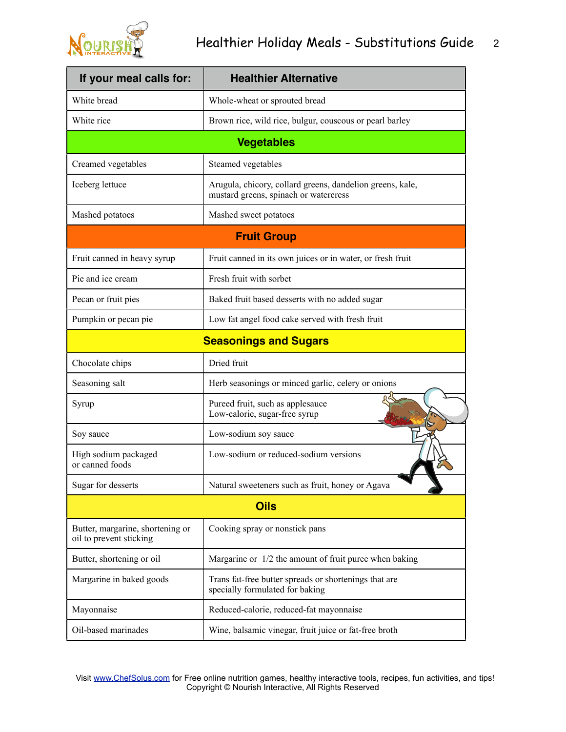

| If your meal calls for:                                     | <b>Healthier Alternative</b>                                                                       |  |
|-------------------------------------------------------------|----------------------------------------------------------------------------------------------------|--|
| White bread                                                 | Whole-wheat or sprouted bread                                                                      |  |
| White rice                                                  | Brown rice, wild rice, bulgur, couscous or pearl barley                                            |  |
| <b>Vegetables</b>                                           |                                                                                                    |  |
| Creamed vegetables                                          | Steamed vegetables                                                                                 |  |
| Iceberg lettuce                                             | Arugula, chicory, collard greens, dandelion greens, kale,<br>mustard greens, spinach or watercress |  |
| Mashed potatoes                                             | Mashed sweet potatoes                                                                              |  |
| <b>Fruit Group</b>                                          |                                                                                                    |  |
| Fruit canned in heavy syrup                                 | Fruit canned in its own juices or in water, or fresh fruit                                         |  |
| Pie and ice cream                                           | Fresh fruit with sorbet                                                                            |  |
| Pecan or fruit pies                                         | Baked fruit based desserts with no added sugar                                                     |  |
| Pumpkin or pecan pie                                        | Low fat angel food cake served with fresh fruit                                                    |  |
| <b>Seasonings and Sugars</b>                                |                                                                                                    |  |
| Chocolate chips                                             | Dried fruit                                                                                        |  |
| Seasoning salt                                              | Herb seasonings or minced garlic, celery or onions                                                 |  |
| Syrup                                                       | Pureed fruit, such as applesauce<br>Low-calorie, sugar-free syrup                                  |  |
| Soy sauce                                                   | Low-sodium soy sauce                                                                               |  |
| High sodium packaged<br>or canned foods                     | Low-sodium or reduced-sodium versions                                                              |  |
| Sugar for desserts                                          | Natural sweeteners such as fruit, honey or Agava                                                   |  |
| <b>Oils</b>                                                 |                                                                                                    |  |
| Butter, margarine, shortening or<br>oil to prevent sticking | Cooking spray or nonstick pans                                                                     |  |
| Butter, shortening or oil                                   | Margarine or 1/2 the amount of fruit puree when baking                                             |  |
| Margarine in baked goods                                    | Trans fat-free butter spreads or shortenings that are<br>specially formulated for baking           |  |
| Mayonnaise                                                  | Reduced-calorie, reduced-fat mayonnaise                                                            |  |
| Oil-based marinades                                         | Wine, balsamic vinegar, fruit juice or fat-free broth                                              |  |

Visit [www.ChefSolus.com](http://www.ChefSolus.com) for Free online nutrition games, healthy interactive tools, recipes, fun activities, and tips! Copyright © Nourish Interactive, All Rights Reserved